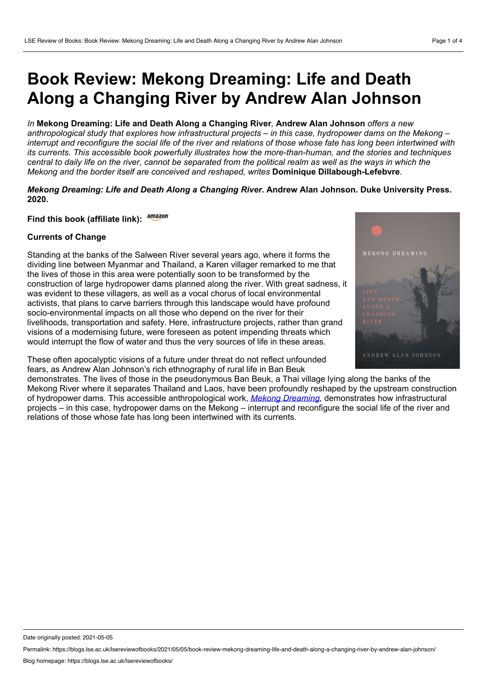# **Book Review: Mekong Dreaming: Life and Death Along a Changing River by Andrew Alan Johnson**

## *In* **Mekong Dreaming: Life and Death Along a Changing River***,* **Andrew Alan Johnson** *offers a new*

anthropological study that explores how infrastructural projects – in this case, hydropower dams on the Mekong – interrupt and reconfigure the social life of the river and relations of those whose fate has long been intertwined with *its currents. This accessible book powerfully illustrates how the more-than-human, and the stories and techniques* central to daily life on the river, cannot be separated from the political realm as well as the ways in which the *Mekong and the border itself are conceived and reshaped, writes* **Dominique Dillabough-Lefebvre***.*

# *Mekong Dreaming: Life and Death Along a Changing River***. Andrew Alan Johnson. Duke University Press. 2020.**

**Find this book (affiliate link):**

## **Currents of Change**

Standing at the banks of the Salween River several years ago, where it forms the dividing line between Myanmar and Thailand, a Karen villager remarked to me that the lives of those in this area were potentially soon to be transformed by the construction of large hydropower dams planned along the river. With great sadness, it was evident to these villagers, as well as a vocal chorus of local environmental activists, that plans to carve barriers through this landscape would have profound socio-environmental impacts on all those who depend on the river for their livelihoods, transportation and safety. Here, infrastructure projects, rather than grand visions of a modernising future, were foreseen as potent impending threats which would interrupt the flow of water and thus the very sources of life in these areas.

These often apocalyptic visions of a future under threat do not reflect unfounded fears, as Andrew Alan Johnson's rich ethnography of rural life in Ban Beuk

MEKONG DREAMING ANDREW ALAN JOHNSON

demonstrates. The lives of those in the pseudonymous Ban Beuk, a Thai village lying along the banks of the Mekong River where it separates Thailand and Laos, have been profoundly reshaped by the upstream construction of hydropower dams. This accessible anthropological work, *Mekong [Dreaming](https://www.dukeupress.edu/mekong-dreaming)*, demonstrates how infrastructural projects – in this case, hydropower dams on the Mekong – interrupt and reconfigure the social life of the river and relations of those whose fate has long been intertwined with its currents.

Date originally posted: 2021-05-05

Permalink: https://blogs.lse.ac.uk/lsereviewofbooks/2021/05/05/book-review-mekong-dreaming-life-and-death-along-a-changing-river-by-andrew-alan-johnson/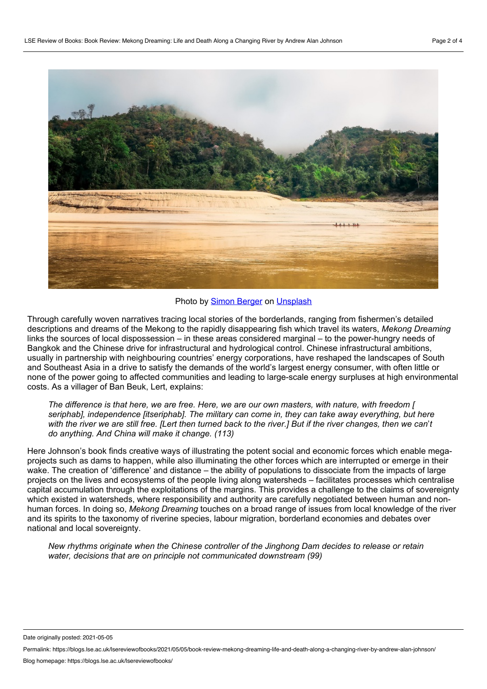

#### Photo by Simon [Berger](https://unsplash.com/@8moments?utm_source=unsplash&utm_medium=referral&utm_content=creditCopyText) on [Unsplash](https://unsplash.com/?utm_source=unsplash&utm_medium=referral&utm_content=creditCopyText)

Through carefully woven narratives tracing local stories of the borderlands, ranging from fishermen's detailed descriptions and dreams of the Mekong to the rapidly disappearing fish which travel its waters, *Mekong Dreaming* links the sources of local dispossession – in these areas considered marginal – to the power-hungry needs of Bangkok and the Chinese drive for infrastructural and hydrological control. Chinese infrastructural ambitions, usually in partnership with neighbouring countries' energy corporations, have reshaped the landscapes of South and Southeast Asia in a drive to satisfy the demands of the world's largest energy consumer, with often little or none of the power going to affected communities and leading to large-scale energy surpluses at high environmental costs. As a villager of Ban Beuk, Lert, explains:

The difference is that here, we are free. Here, we are our own masters, with nature, with freedom [ *seriphab], independence [itseriphab]. The military can come in, they can take away everything, but here* with the river we are still free. [Lert then turned back to the river.] But if the river changes, then we can't *do anything. And China will make it change. (113)*

Here Johnson's book finds creative ways of illustrating the potent social and economic forces which enable mega projects such as dams to happen, while also illuminating the other forces which are interrupted or emerge in their wake. The creation of 'difference' and distance – the ability of populations to dissociate from the impacts of large projects on the lives and ecosystems of the people living along watersheds – facilitates processes which centralise capital accumulation through the exploitations of the margins. This provides a challenge to the claims of sovereignty which existed in watersheds, where responsibility and authority are carefully negotiated between human and non human forces. In doing so, *Mekong Dreaming* touches on a broad range of issues from local knowledge of the river and its spirits to the taxonomy of riverine species, labour migration, borderland economies and debates over national and local sovereignty.

*New rhythms originate when the Chinese controller of the Jinghong Dam decides to release or retain water, decisions that are on principle not communicated downstream (99)*

Date originally posted: 2021-05-05

Permalink: https://blogs.lse.ac.uk/lsereviewofbooks/2021/05/05/book-review-mekong-dreaming-life-and-death-along-a-changing-river-by-andrew-alan-johnson/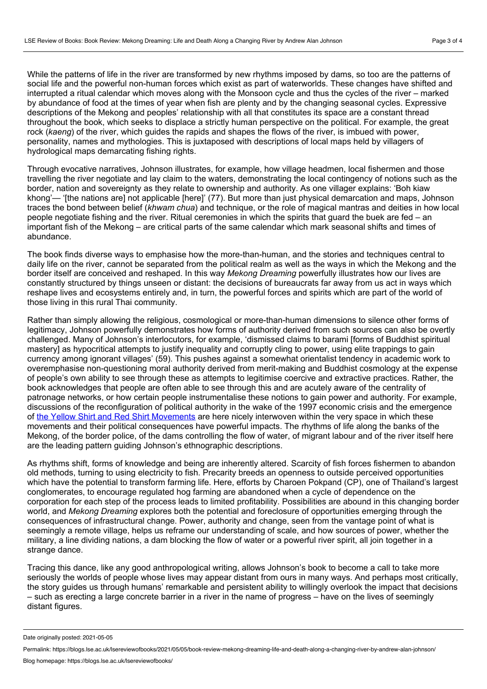While the patterns of life in the river are transformed by new rhythms imposed by dams, so too are the patterns of social life and the powerful non-human forces which exist as part of waterworlds. These changes have shifted and interrupted a ritual calendar which moves along with the Monsoon cycle and thus the cycles of the river – marked by abundance of food at the times of year when fish are plenty and by the changing seasonal cycles. Expressive descriptions of the Mekong and peoples' relationship with all that constitutes its space are a constant thread throughout the book, which seeks to displace a strictly human perspective on the political. For example, the great rock (*kaeng*) of the river, which guides the rapids and shapes the flows of the river, is imbued with power, personality, names and mythologies. This is juxtaposed with descriptions of local maps held by villagers of hydrological maps demarcating fishing rights.

Through evocative narratives, Johnson illustrates, for example, how village headmen, local fishermen and those travelling the river negotiate and lay claim to the waters, demonstrating the local contingency of notions such as the border, nation and sovereignty as they relate to ownership and authority. As one villager explains: 'Boh kiaw khong'— '[the nations are] not applicable [here]' (77). But more than just physical demarcation and maps, Johnson traces the bond between belief (*khwam chua*) and technique, or the role of magical mantras and deities in how local people negotiate fishing and the river. Ritual ceremonies in which the spirits that guard the buek are fed – an important fish of the Mekong – are critical parts of the same calendar which mark seasonal shifts and times of abundance.

The book finds diverse ways to emphasise how the more-than-human, and the stories and techniques central to daily life on the river, cannot be separated from the political realm as well as the ways in which the Mekong and the border itself are conceived and reshaped. In this way *Mekong Dreaming* powerfully illustrates how our lives are constantly structured by things unseen or distant: the decisions of bureaucrats far away from us act in ways which reshape lives and ecosystems entirely and, in turn, the powerful forces and spirits which are part of the world of those living in this rural Thai community.

Rather than simply allowing the religious, cosmological or more-than-human dimensions to silence other forms of legitimacy, Johnson powerfully demonstrates how forms of authority derived from such sources can also be overtly challenged. Many of Johnson's interlocutors, for example, 'dismissed claims to barami [forms of Buddhist spiritual mastery] as hypocritical attempts to justify inequality and corruptly cling to power, using elite trappings to gain currency among ignorant villages' (59). This pushes against a somewhat orientalist tendency in academic work to overemphasise non-questioning moral authority derived from merit-making and Buddhist cosmology at the expense of people's own ability to see through these as attempts to legitimise coercive and extractive practices. Rather, the book acknowledges that people are often able to see through this and are acutely aware of the centrality of patronage networks, or how certain people instrumentalise these notions to gain power and authority. For example, discussions of the reconfiguration of political authority in the wake of the 1997 economic crisis and the emergence of the Yellow Shirt and Red Shirt [Movements](https://www.bbc.co.uk/news/world-asia-pacific-13294268) are here nicely interwoven within the very space in which these movements and their political consequences have powerful impacts. The rhythms of life along the banks of the Mekong, of the border police, of the dams controlling the flow of water, of migrant labour and of the river itself here are the leading pattern guiding Johnson's ethnographic descriptions.

As rhythms shift, forms of knowledge and being are inherently altered. Scarcity of fish forces fishermen to abandon old methods, turning to using electricity to fish. Precarity breeds an openness to outside perceived opportunities which have the potential to transform farming life. Here, efforts by Charoen Pokpand (CP), one of Thailand's largest conglomerates, to encourage regulated hog farming are abandoned when a cycle of dependence on the corporation for each step of the process leads to limited profitability. Possibilities are abound in this changing border world, and *Mekong Dreaming* explores both the potential and foreclosure of opportunities emerging through the consequences of infrastructural change. Power, authority and change, seen from the vantage point of what is seemingly a remote village, helps us reframe our understanding of scale, and how sources of power, whether the military, a line dividing nations, a dam blocking the flow of water or a powerful river spirit, all join together in a strange dance.

Tracing this dance, like any good anthropological writing, allows Johnson's book to become a call to take more seriously the worlds of people whose lives may appear distant from ours in many ways. And perhaps most critically, the story guides us through humans' remarkable and persistent ability to willingly overlook the impact that decisions – such as erecting a large concrete barrier in a river in the name of progress – have on the lives of seemingly distant figures.

Date originally posted: 2021-05-05

Permalink: https://blogs.lse.ac.uk/lsereviewofbooks/2021/05/05/book-review-mekong-dreaming-life-and-death-along-a-changing-river-by-andrew-alan-johnson/